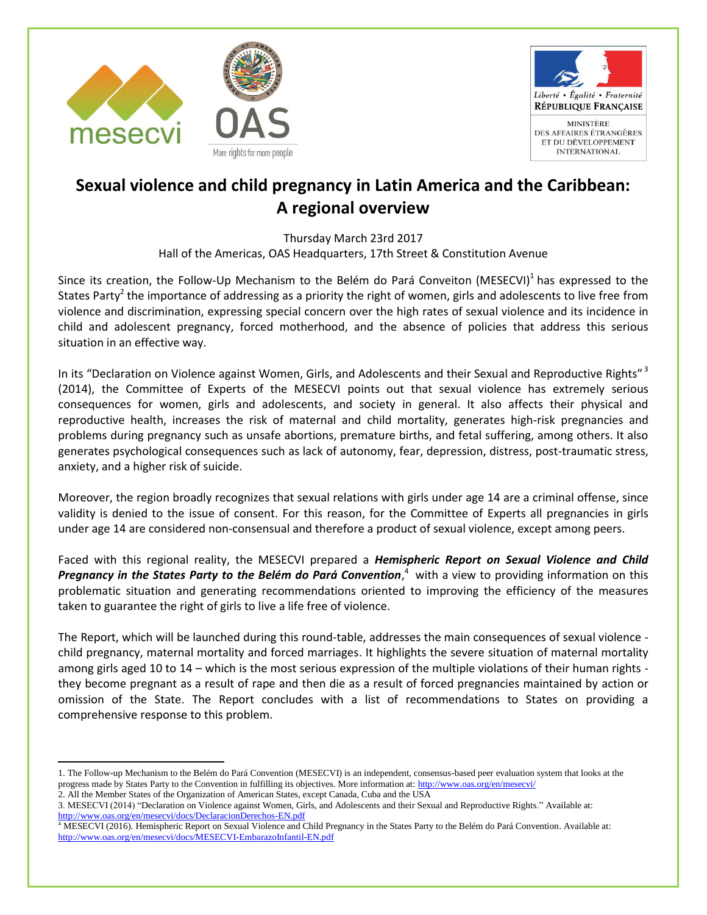



## **Sexual violence and child pregnancy in Latin America and the Caribbean: A regional overview**

Thursday March 23rd 2017 Hall of the Americas, OAS Headquarters, 17th Street & Constitution Avenue

Since its creation, the Follow-Up Mechanism to the Belém do Pará Conveiton (MESECVI)<sup>1</sup> has expressed to the States Party<sup>2</sup> the importance of addressing as a priority the right of women, girls and adolescents to live free from violence and discrimination, expressing special concern over the high rates of sexual violence and its incidence in child and adolescent pregnancy, forced motherhood, and the absence of policies that address this serious situation in an effective way.

In its "Declaration on Violence against Women, Girls, and Adolescents and their Sexual and Reproductive Rights"<sup>3</sup> (2014), the Committee of Experts of the MESECVI points out that sexual violence has extremely serious consequences for women, girls and adolescents, and society in general. It also affects their physical and reproductive health, increases the risk of maternal and child mortality, generates high-risk pregnancies and problems during pregnancy such as unsafe abortions, premature births, and fetal suffering, among others. It also generates psychological consequences such as lack of autonomy, fear, depression, distress, post-traumatic stress, anxiety, and a higher risk of suicide.

Moreover, the region broadly recognizes that sexual relations with girls under age 14 are a criminal offense, since validity is denied to the issue of consent. For this reason, for the Committee of Experts all pregnancies in girls under age 14 are considered non-consensual and therefore a product of sexual violence, except among peers.

Faced with this regional reality, the MESECVI prepared a *Hemispheric Report on Sexual Violence and Child*  Pregnancy in the States Party to the Belém do Pará Convention,<sup>4</sup> with a view to providing information on this problematic situation and generating recommendations oriented to improving the efficiency of the measures taken to guarantee the right of girls to live a life free of violence.

The Report, which will be launched during this round-table, addresses the main consequences of sexual violence child pregnancy, maternal mortality and forced marriages. It highlights the severe situation of maternal mortality among girls aged 10 to 14 – which is the most serious expression of the multiple violations of their human rights they become pregnant as a result of rape and then die as a result of forced pregnancies maintained by action or omission of the State. The Report concludes with a list of recommendations to States on providing a comprehensive response to this problem.

 $\ddot{\phantom{a}}$ 

<sup>1.</sup> The Follow-up Mechanism to the Belém do Pará Convention (MESECVI) is an independent, consensus-based peer evaluation system that looks at the progress made by States Party to the Convention in fulfilling its objectives. More information at:<http://www.oas.org/en/mesecvi/>

<sup>2.</sup> All the Member States of the Organization of American States, except Canada, Cuba and the USA

<sup>3.</sup> MESECVI (2014) "Declaration on Violence against Women, Girls, and Adolescents and their Sexual and Reproductive Rights." Available at: <http://www.oas.org/en/mesecvi/docs/DeclaracionDerechos-EN.pdf>

<sup>4</sup> MESECVI (2016). Hemispheric Report on Sexual Violence and Child Pregnancy in the States Party to the Belém do Pará Convention. Available at: <http://www.oas.org/en/mesecvi/docs/MESECVI-EmbarazoInfantil-EN.pdf>